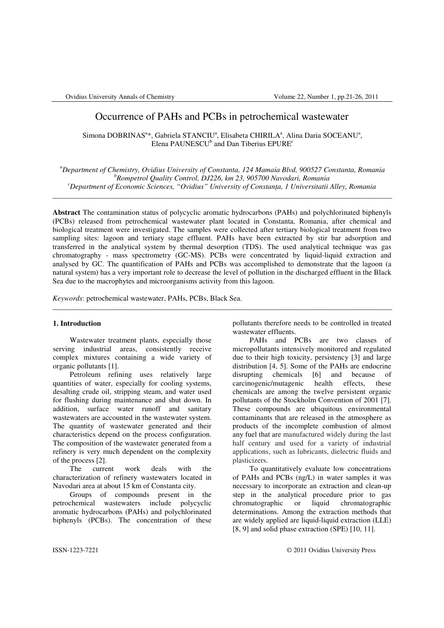# Occurrence of PAHs and PCBs in petrochemical wastewater

Simona DOBRINAS<sup>a</sup>\*, Gabriela STANCIU<sup>a</sup>, Elisabeta CHIRILA<sup>a</sup>, Alina Daria SOCEANU<sup>a</sup>, Elena PAUNESCU<sup>b</sup> and Dan Tiberius EPURE<sup>c</sup>

*<sup>a</sup>Department of Chemistry, Ovidius University of Constanta, 124 Mamaia Blvd, 900527 Constanta, Romania <sup>b</sup>Rompetrol Quality Control, DJ226, km 23, 905700 Navodari, Romania <sup>c</sup>Department of Economic Sciences, "Ovidius" University of Constan*ţ*a, 1 Universitatii Alley, Romania* 

\_\_\_\_\_\_\_\_\_\_\_\_\_\_\_\_\_\_\_\_\_\_\_\_\_\_\_\_\_\_\_\_\_\_\_\_\_\_\_\_\_\_\_\_\_\_\_\_\_\_\_\_\_\_\_\_\_\_\_\_\_\_\_\_\_\_\_\_\_\_\_\_\_\_\_\_\_\_\_\_\_\_\_\_\_\_\_\_\_\_\_

**Abstract** The contamination status of polycyclic aromatic hydrocarbons (PAHs) and polychlorinated biphenyls (PCBs) released from petrochemical wastewater plant located in Constanta, Romania, after chemical and biological treatment were investigated. The samples were collected after tertiary biological treatment from two sampling sites: lagoon and tertiary stage effluent. PAHs have been extracted by stir bar adsorption and transferred in the analytical system by thermal desorption (TDS). The used analytical technique was gas chromatography - mass spectrometry (GC-MS). PCBs were concentrated by liquid-liquid extraction and analysed by GC. The quantification of PAHs and PCBs was accomplished to demonstrate that the lagoon (a natural system) has a very important role to decrease the level of pollution in the discharged effluent in the Black Sea due to the macrophytes and microorganisms activity from this lagoon.

\_\_\_\_\_\_\_\_\_\_\_\_\_\_\_\_\_\_\_\_\_\_\_\_\_\_\_\_\_\_\_\_\_\_\_\_\_\_\_\_\_\_\_\_\_\_\_\_\_\_\_\_\_\_\_\_\_\_\_\_\_\_\_\_\_\_\_\_\_\_\_\_\_\_\_\_\_\_\_\_\_\_\_\_\_\_\_\_\_\_\_

*Keywords*: petrochemical wastewater, PAHs, PCBs, Black Sea.

# **1. Introduction**

Wastewater treatment plants, especially those serving industrial areas, consistently receive complex mixtures containing a wide variety of organic pollutants [1].

Petroleum refining uses relatively large quantities of water, especially for cooling systems, desalting crude oil, stripping steam, and water used for flushing during maintenance and shut down. In addition, surface water runoff and sanitary wastewaters are accounted in the wastewater system. The quantity of wastewater generated and their characteristics depend on the process configuration. The composition of the wastewater generated from a refinery is very much dependent on the complexity of the process [2].

The current work deals with the characterization of refinery wastewaters located in Navodari area at about 15 km of Constanta city.

Groups of compounds present in the petrochemical wastewaters include polycyclic aromatic hydrocarbons (PAHs) and polychlorinated biphenyls (PCBs). The concentration of these pollutants therefore needs to be controlled in treated wastewater effluents.

PAHs and PCBs are two classes of micropollutants intensively monitored and regulated due to their high toxicity, persistency [3] and large distribution [4, 5]. Some of the PAHs are endocrine disrupting chemicals [6] and because of carcinogenic/mutagenic health effects, these chemicals are among the twelve persistent organic pollutants of the Stockholm Convention of 2001 [7]. These compounds are ubiquitous environmental contaminants that are released in the atmosphere as products of the incomplete combustion of almost any fuel that are manufactured widely during the last half century and used for a variety of industrial applications, such as lubricants, dielectric fluids and plasticizers.

To quantitatively evaluate low concentrations of PAHs and PCBs (ng/L) in water samples it was necessary to incorporate an extraction and clean-up step in the analytical procedure prior to gas<br>chromatographic or liquid chromatographic chromatographic determinations. Among the extraction methods that are widely applied are liquid-liquid extraction (LLE) [8, 9] and solid phase extraction (SPE) [10, 11].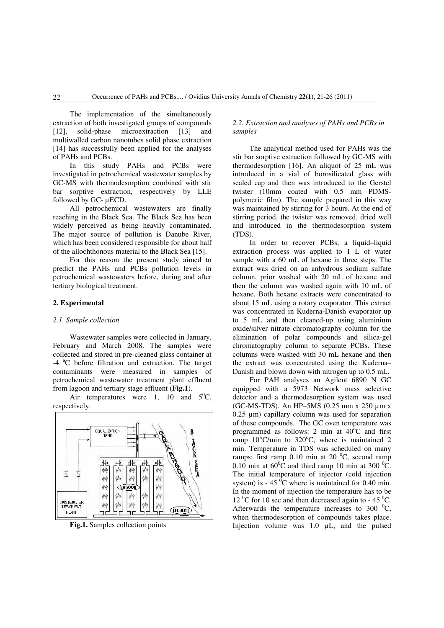The implementation of the simultaneously extraction of both investigated groups of compounds [12], solid-phase microextraction [13] and multiwalled carbon nanotubes solid phase extraction [14] has successfully been applied for the analyses of PAHs and PCBs.

In this study PAHs and PCBs were investigated in petrochemical wastewater samples by GC-MS with thermodesorption combined with stir bar sorptive extraction, respectively by LLE followed by GC- µECD.

All petrochemical wastewaters are finally reaching in the Black Sea. The Black Sea has been widely perceived as being heavily contaminated. The major source of pollution is Danube River, which has been considered responsible for about half of the allochthonous material to the Black Sea [15].

For this reason the present study aimed to predict the PAHs and PCBs pollution levels in petrochemical wastewaters before, during and after tertiary biological treatment.

#### **2. Experimental**

### *2.1. Sample collection*

Wastewater samples were collected in January, February and March 2008. The samples were collected and stored in pre-cleaned glass container at -4**<sup>o</sup>**C before filtration and extraction. The target contaminants were measured in samples of petrochemical wastewater treatment plant effluent from lagoon and tertiary stage effluent (**Fig.1**).

Air temperatures were 1, 10 and  $5^{\circ}C$ , respectively.



**Fig.1.** Samples collection points

## *2.2. Extraction and analyses of PAHs and PCBs in samples*

The analytical method used for PAHs was the stir bar sorptive extraction followed by GC-MS with thermodesorption [16]. An aliquot of 25 mL was introduced in a vial of borosilicated glass with sealed cap and then was introduced to the Gerstel twister (10mm coated with 0.5 mm PDMSpolymeric film). The sample prepared in this way was maintained by stirring for 3 hours. At the end of stirring period, the twister was removed, dried well and introduced in the thermodesorption system (TDS).

In order to recover PCBs, a liquid–liquid extraction process was applied to 1 L of water sample with a 60 mL of hexane in three steps. The extract was dried on an anhydrous sodium sulfate column, prior washed with 20 mL of hexane and then the column was washed again with 10 mL of hexane. Both hexane extracts were concentrated to about 15 mL using a rotary evaporator. This extract was concentrated in Kuderna-Danish evaporator up to 5 mL and then cleaned-up using aluminium oxide/silver nitrate chromatography column for the elimination of polar compounds and silica-gel chromatography column to separate PCBs. These columns were washed with 30 mL hexane and then the extract was concentrated using the Kuderna– Danish and blown down with nitrogen up to 0.5 mL.

For PAH analyses an Agilent 6890 N GC equipped with a 5973 Network mass selective detector and a thermodesorption system was used (GC-MS-TDS). An HP–5MS (0.25 mm x 250 µm x 0.25 µm) capillary column was used for separation of these compounds. The GC oven temperature was programmed as follows: 2 min at  $40^{\circ}$ C and first ramp  $10^{\circ}$ C/min to  $320^{\circ}$ C, where is maintained 2 min. Temperature in TDS was scheduled on many ramps: first ramp  $0.10$  min at  $20<sup>0</sup>C$ , second ramp 0.10 min at  $60^{\circ}$ C and third ramp 10 min at 300  $^{\circ}$ C. The initial temperature of injector (cold injection system) is  $-45\degree$ C where is maintained for 0.40 min. In the moment of injection the temperature has to be 12  $^{\circ}$ C for 10 sec and then decreased again to - 45  $^{\circ}$ C. Afterwards the temperature increases to 300  $^0C$ , when thermodesorption of compounds takes place. Injection volume was 1.0 µL, and the pulsed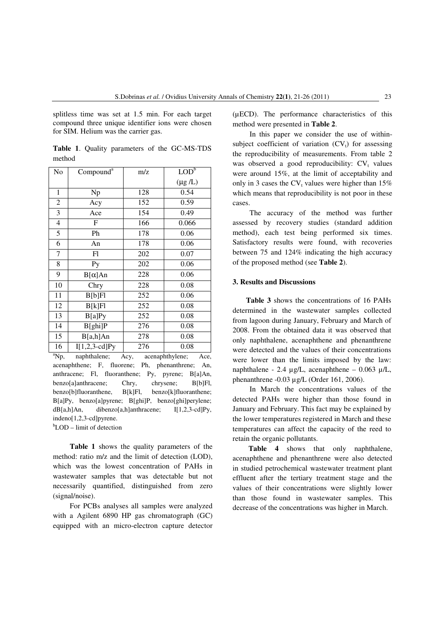splitless time was set at 1.5 min. For each target compound three unique identifier ions were chosen for SIM. Helium was the carrier gas.

**Table 1**. Quality parameters of the GC-MS-TDS method

| No             | Compound <sup>a</sup> | m/z | LOD <sub>p</sub> |
|----------------|-----------------------|-----|------------------|
|                |                       |     | $(\mu g/L)$      |
| $\mathbf{1}$   | Np                    | 128 | 0.54             |
| 2              | Acy                   | 152 | 0.59             |
| 3              | Ace                   | 154 | 0.49             |
| $\overline{4}$ | F                     | 166 | 0.066            |
| 5              | Ph                    | 178 | 0.06             |
| 6              | An                    | 178 | 0.06             |
| 7              | Fl                    | 202 | 0.07             |
| 8              | Py                    | 202 | 0.06             |
| 9              | $B[\alpha]$ An        | 228 | 0.06             |
| 10             | Chry                  | 228 | 0.08             |
| 11             | B[b]F1                | 252 | 0.06             |
| 12             | B[k]Fl                | 252 | 0.08             |
| 13             | B[a]Py                | 252 | 0.08             |
| 14             | B[ghi]P               | 276 | 0.08             |
| 15             | B[a,h]An              | 278 | 0.08             |
| 16             | $I[1,2,3-cd]Py$       | 276 | 0.08             |

 $a^2$ Np, naphthalene; Acy, acenaphthylene; Ace, acenaphthene; F, fluorene; Ph, phenanthrene; An, anthracene; Fl, fluoranthene; Py, pyrene; B[a]An, benzo[a]anthracene; Chry, chrysene; B[b]Fl, benzo[b]fluoranthene, B[k]Fl, benzo[k]fluoranthene; B[a]Py, benzo[a]pyrene; B[ghi]P, benzo[ghi]perylene; dB[a,h]An, dibenzo[a,h]anthracene; I[1,2,3-cd]Py, indeno[1,2,3-cd]pyrene.

 $b$ LOD – limit of detection

**Table 1** shows the quality parameters of the method: ratio m/z and the limit of detection (LOD), which was the lowest concentration of PAHs in wastewater samples that was detectable but not necessarily quantified, distinguished from zero (signal/noise).

For PCBs analyses all samples were analyzed with a Agilent 6890 HP gas chromatograph (GC) equipped with an micro-electron capture detector

(µECD). The performance characteristics of this method were presented in **Table 2**.

In this paper we consider the use of withinsubject coefficient of variation  $(CV_t)$  for assessing the reproducibility of measurements. From table 2 was observed a good reproducibility:  $CV_t$  values were around 15%, at the limit of acceptability and only in 3 cases the  $CV_t$  values were higher than 15% which means that reproducibility is not poor in these cases.

The accuracy of the method was further assessed by recovery studies (standard addition method), each test being performed six times. Satisfactory results were found, with recoveries between 75 and 124% indicating the high accuracy of the proposed method (see **Table 2**).

# **3. Results and Discussions**

**Table 3** shows the concentrations of 16 PAHs determined in the wastewater samples collected from lagoon during January, February and March of 2008. From the obtained data it was observed that only naphthalene, acenaphthene and phenanthrene were detected and the values of their concentrations were lower than the limits imposed by the law: naphthalene - 2.4 µg/L, acenaphthene – 0.063 µ/L, phenanthrene -0.03 µg/L (Order 161, 2006).

In March the concentrations values of the detected PAHs were higher than those found in January and February. This fact may be explained by the lower temperatures registered in March and these temperatures can affect the capacity of the reed to retain the organic pollutants.

**Table 4** shows that only naphthalene, acenaphthene and phenanthrene were also detected in studied petrochemical wastewater treatment plant effluent after the tertiary treatment stage and the values of their concentrations were slightly lower than those found in wastewater samples. This decrease of the concentrations was higher in March.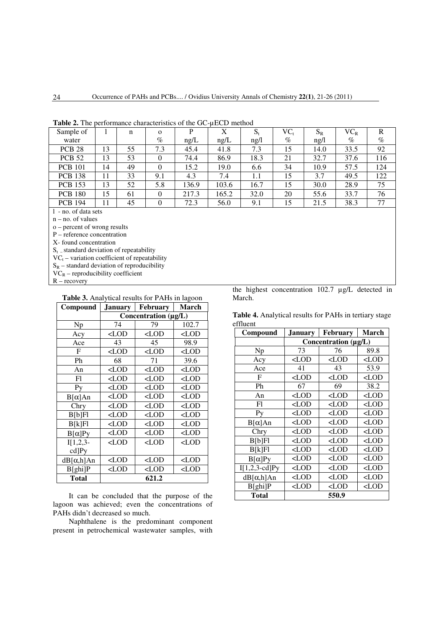| Sample of      |    | n  | $\Omega$ | P     | X     | $S_t$ | $VC_t$ | $S_R$ | $VC_R$ | R    |
|----------------|----|----|----------|-------|-------|-------|--------|-------|--------|------|
| water          |    |    | $\%$     | ng/L  | ng/L  | ng/l  | $\%$   | ng/l  | $\%$   | $\%$ |
| <b>PCB 28</b>  | 13 | 55 | 7.3      | 45.4  | 41.8  | 7.3   | 15     | 14.0  | 33.5   | 92   |
| <b>PCB 52</b>  | 13 | 53 |          | 74.4  | 86.9  | 18.3  | 21     | 32.7  | 37.6   | 116  |
| <b>PCB</b> 101 | 14 | 49 |          | 15.2  | 19.0  | 6.6   | 34     | 10.9  | 57.5   | 124  |
| <b>PCB 138</b> | 11 | 33 | 9.1      | 4.3   | 7.4   | 1.1   | 15     | 3.7   | 49.5   | 122  |
| <b>PCB</b> 153 | 13 | 52 | 5.8      | 136.9 | 103.6 | 16.7  | 15     | 30.0  | 28.9   | 75   |
| <b>PCB 180</b> | 15 | 61 | $\theta$ | 217.3 | 165.2 | 32.0  | 20     | 55.6  | 33.7   | 76   |
| <b>PCB 194</b> | 11 | 45 | $\Omega$ | 72.3  | 56.0  | 9.1   | 15     | 21.5  | 38.3   | 77   |
|                |    |    |          |       |       |       |        |       |        |      |

**Table 2.** The performance characteristics of the GC-µECD method

l - no. of data sets

n – no. of values

o – percent of wrong results

P – reference concentration

X- found concentration

 $S_t$  – standard deviation of repeatability

 $VC_t$  – variation coefficient of repeatability

 $S_R$  – standard deviation of reproducibility

 $\overrightarrow{VC_R}$  – reproducibility coefficient

 $R - recovery$ 

| Compound       | January                                                                       | <b>February</b> | March   |  |  |  |  |
|----------------|-------------------------------------------------------------------------------|-----------------|---------|--|--|--|--|
|                | Concentration (µg/L)                                                          |                 |         |  |  |  |  |
| Np             | 74                                                                            | 79              | 102.7   |  |  |  |  |
| Acy            | $<$ LOD                                                                       | $<$ LOD         | $<$ LOD |  |  |  |  |
| Ace            | 43                                                                            | 45              | 98.9    |  |  |  |  |
| F              | $<$ LOD                                                                       | $\langle$ LOD   | $<$ LOD |  |  |  |  |
| Ph             | 68                                                                            | 71              | 39.6    |  |  |  |  |
| An             | $<$ LOD                                                                       | $<$ LOD         | $<$ LOD |  |  |  |  |
| Fl             | $<$ LOD                                                                       | $<$ LOD         | $<$ LOD |  |  |  |  |
| P <sub>V</sub> | $<$ LOD                                                                       | $<$ LOD         | $<$ LOD |  |  |  |  |
| $B[\alpha]$ An | $<$ LOD                                                                       | $<$ LOD         | $<$ LOD |  |  |  |  |
| Chry           | $<$ LOD                                                                       | $<$ LOD         | $<$ LOD |  |  |  |  |
| B[b]F1         | $<$ LOD                                                                       | $<$ LOD         | $<$ LOD |  |  |  |  |
| B[k]F1         | $<$ LOD                                                                       | $<$ LOD         | $<$ LOD |  |  |  |  |
| $B[\alpha]Py$  | $<$ LOD                                                                       | $<$ LOD         | $<$ LOD |  |  |  |  |
| $I[1,2,3-$     | $<$ LOD                                                                       | $<$ LOD         | $<$ LOD |  |  |  |  |
| cd]Py          |                                                                               |                 |         |  |  |  |  |
| dB[α,h]An      | $<$ LOD                                                                       | $<$ LOD         | $<$ LOD |  |  |  |  |
| B[ghi]P        | <lod< td=""><td><math>&lt;</math>LOD</td><td><math>&lt;</math>LOD</td></lod<> | $<$ LOD         | $<$ LOD |  |  |  |  |
| <b>Total</b>   | 621.2                                                                         |                 |         |  |  |  |  |

It can be concluded that the purpose of the lagoon was achieved; even the concentrations of PAHs didn't decreased so much.

Naphthalene is the predominant component present in petrochemical wastewater samples, with the highest concentration 102.7 µg/L detected in March.

**Table 4.** Analytical results for PAHs in tertiary stage effluent

| Compound        | <b>January</b>       | <b>February</b>                                  | <b>March</b> |  |  |  |  |
|-----------------|----------------------|--------------------------------------------------|--------------|--|--|--|--|
|                 | Concentration (µg/L) |                                                  |              |  |  |  |  |
| Np              | 73                   | 76                                               | 89.8         |  |  |  |  |
| Acy             | $<$ LOD              | $<$ LOD                                          | $<$ LOD      |  |  |  |  |
| Ace             | 41                   | 43                                               | 53.9         |  |  |  |  |
| F               | $<$ LOD              | $<$ LOD                                          | $<$ LOD      |  |  |  |  |
| Ph              | 67                   | 69                                               | 38.2         |  |  |  |  |
| An              | $<$ LOD              | $<$ LOD                                          | $<$ LOD      |  |  |  |  |
| F1              | $<$ LOD              | $<$ LOD                                          | $<$ LOD      |  |  |  |  |
| P <sub>V</sub>  | $<$ LOD              | <lod< td=""><td><math>&lt;</math>LOD</td></lod<> | $<$ LOD      |  |  |  |  |
| $B[\alpha]$ An  | $<$ LOD              | $<$ LOD                                          | $<$ LOD      |  |  |  |  |
| Chry            | $<$ LOD              | $<$ LOD                                          | $<$ LOD      |  |  |  |  |
| B[b]F1          | $<$ LOD              | $<$ LOD                                          | $<$ LOD      |  |  |  |  |
| B[k]F1          | $<$ LOD              | $<$ LOD                                          | $<$ LOD      |  |  |  |  |
| $B[\alpha]Py$   | $<$ LOD              | $<$ LOD                                          | $<$ LOD      |  |  |  |  |
| $I[1,2,3-cd]Py$ | $<$ LOD              | $<$ LOD                                          | $<$ LOD      |  |  |  |  |
| dB[α,h]An       | $<$ LOD              | $<$ LOD                                          | $<$ LOD      |  |  |  |  |
| B[ghi]P         | $<$ LOD              | $<$ LOD                                          | $<$ LOD      |  |  |  |  |
| Total           |                      | 550.9                                            |              |  |  |  |  |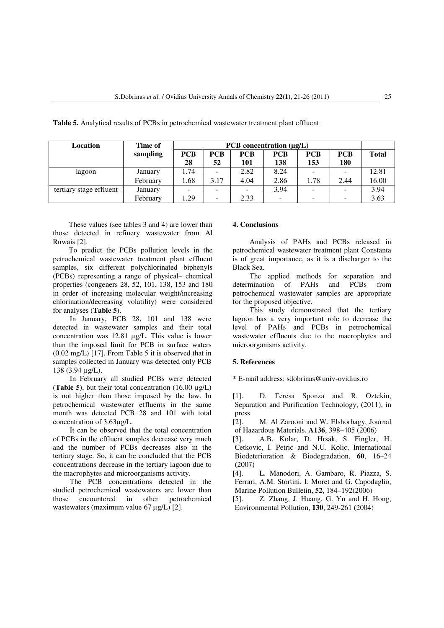| Location                | Time of  | PCB concentration $(\mu g/L)$ |            |            |            |            |            |              |
|-------------------------|----------|-------------------------------|------------|------------|------------|------------|------------|--------------|
|                         | sampling | <b>PCB</b>                    | <b>PCB</b> | <b>PCB</b> | <b>PCB</b> | <b>PCB</b> | <b>PCB</b> | <b>Total</b> |
|                         |          | 28                            | 52         | 101        | 138        | 153        | 180        |              |
| lagoon                  | January  | 1.74                          |            | 2.82       | 8.24       |            |            | 12.81        |
|                         | February | 1.68                          | 3.17       | 4.04       | 2.86       | 1.78       | 2.44       | 16.00        |
| tertiary stage effluent | January  |                               | -          |            | 3.94       |            |            | 3.94         |
|                         | February | 1.29                          | -          | 2.33       |            |            |            | 3.63         |

**Table 5.** Analytical results of PCBs in petrochemical wastewater treatment plant effluent

These values (see tables 3 and 4) are lower than those detected in refinery wastewater from Al Ruwais [2].

To predict the PCBs pollution levels in the petrochemical wastewater treatment plant effluent samples, six different polychlorinated biphenyls (PCBs) representing a range of physical– chemical properties (congeners 28, 52, 101, 138, 153 and 180 in order of increasing molecular weight/increasing chlorination/decreasing volatility) were considered for analyses (**Table 5**).

In January, PCB 28, 101 and 138 were detected in wastewater samples and their total concentration was 12.81 µg/L. This value is lower than the imposed limit for PCB in surface waters (0.02 mg/L) [17]. From Table 5 it is observed that in samples collected in January was detected only PCB 138 (3.94 µg/L).

In February all studied PCBs were detected (**Table 5**), but their total concentration  $(16.00 \text{ µg/L})$ is not higher than those imposed by the law. In petrochemical wastewater effluents in the same month was detected PCB 28 and 101 with total concentration of 3.63µg/L.

It can be observed that the total concentration of PCBs in the effluent samples decrease very much and the number of PCBs decreases also in the tertiary stage. So, it can be concluded that the PCB concentrations decrease in the tertiary lagoon due to the macrophytes and microorganisms activity.

The PCB concentrations detected in the studied petrochemical wastewaters are lower than those encountered in other petrochemical wastewaters (maximum value 67 µg/L) [2].

# **4. Conclusions**

Analysis of PAHs and PCBs released in petrochemical wastewater treatment plant Constanta is of great importance, as it is a discharger to the Black Sea.

The applied methods for separation and determination of PAHs and PCBs from petrochemical wastewater samples are appropriate for the proposed objective.

This study demonstrated that the tertiary lagoon has a very important role to decrease the level of PAHs and PCBs in petrochemical wastewater effluents due to the macrophytes and microorganisms activity.

# **5. References**

\* E-mail address: sdobrinas@univ-ovidius.ro

[1]. D. Teresa Sponza and R. Oztekin, Separation and Purification Technology, (2011), in press

[2]. M. Al Zarooni and W. Elshorbagy, Journal of Hazardous Materials, **A136**, 398–405 (2006)

[3]. A.B. Kolar, D. Hrsak, S. Fingler, H. Cetkovic, I. Petric and N.U. Kolic, International Biodeterioration & Biodegradation, **60**, 16–24 (2007)

[4]. L. Manodori, A. Gambaro, R. Piazza, S. Ferrari, A.M. Stortini, I. Moret and G. Capodaglio, Marine Pollution Bulletin, **52**, 184–192(2006)

[5]. Z. Zhang, J. Huang, G. Yu and H. Hong, Environmental Pollution, **130**, 249-261 (2004)